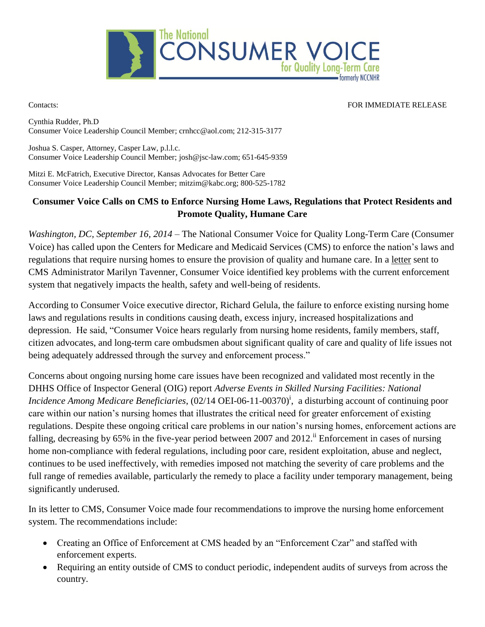

Contacts: FOR IMMEDIATE RELEASE

Cynthia Rudder, Ph.D Consumer Voice Leadership Council Member; [crnhcc@aol.com;](mailto:crnhcc@aol.com) [212-315-3177](tel:212-315-3177)

Joshua S. Casper, Attorney, Casper Law, p.l.l.c. Consumer Voice Leadership Council Member; josh@jsc-law.com; [651-645-9359](tel:651-645-9359)

Mitzi E. McFatrich, Executive Director, Kansas Advocates for Better Care Consumer Voice Leadership Council Member; [mitzim@kabc.org;](mailto:mitzim@kabc.org) [800-525-1782](tel:800-525-1782)

## **Consumer Voice Calls on CMS to Enforce Nursing Home Laws, Regulations that Protect Residents and Promote Quality, Humane Care**

*Washington, DC, September 16, 2014* – The National Consumer Voice for Quality Long-Term Care (Consumer Voice) has called upon the Centers for Medicare and Medicaid Services (CMS) to enforce the nation's laws and regulations that require nursing homes to ensure the provision of quality and humane care. In a [letter](http://www.theconsumervoice.org/) sent to CMS Administrator Marilyn Tavenner, Consumer Voice identified key problems with the current enforcement system that negatively impacts the health, safety and well-being of residents.

According to Consumer Voice executive director, Richard Gelula, the failure to enforce existing nursing home laws and regulations results in conditions causing death, excess injury, increased hospitalizations and depression. He said, "Consumer Voice hears regularly from nursing home residents, family members, staff, citizen advocates, and long-term care ombudsmen about significant quality of care and quality of life issues not being adequately addressed through the survey and enforcement process."

Concerns about ongoing nursing home care issues have been recognized and validated most recently in the DHHS Office of Inspector General (OIG) report *Adverse Events in Skilled Nursing Facilities: National*  Incidence Among Medicare Beneficiaries, (02/14 OEI-06-11-00370)<sup>i</sup>, a disturbing account of continuing poor care within our nation's nursing homes that illustrates the critical need for greater enforcement of existing regulations. Despite these ongoing critical care problems in our nation's nursing homes, enforcement actions are falling, decreasing by 65% in the five-year period between 2007 and 2012.<sup>ii</sup> Enforcement in cases of nursing home non-compliance with federal regulations, including poor care, resident exploitation, abuse and neglect, continues to be used ineffectively, with remedies imposed not matching the severity of care problems and the full range of remedies available, particularly the remedy to place a facility under temporary management, being significantly underused.

In its letter to CMS, Consumer Voice made four recommendations to improve the nursing home enforcement system. The recommendations include:

- Creating an Office of Enforcement at CMS headed by an "Enforcement Czar" and staffed with enforcement experts.
- Requiring an entity outside of CMS to conduct periodic, independent audits of surveys from across the country.